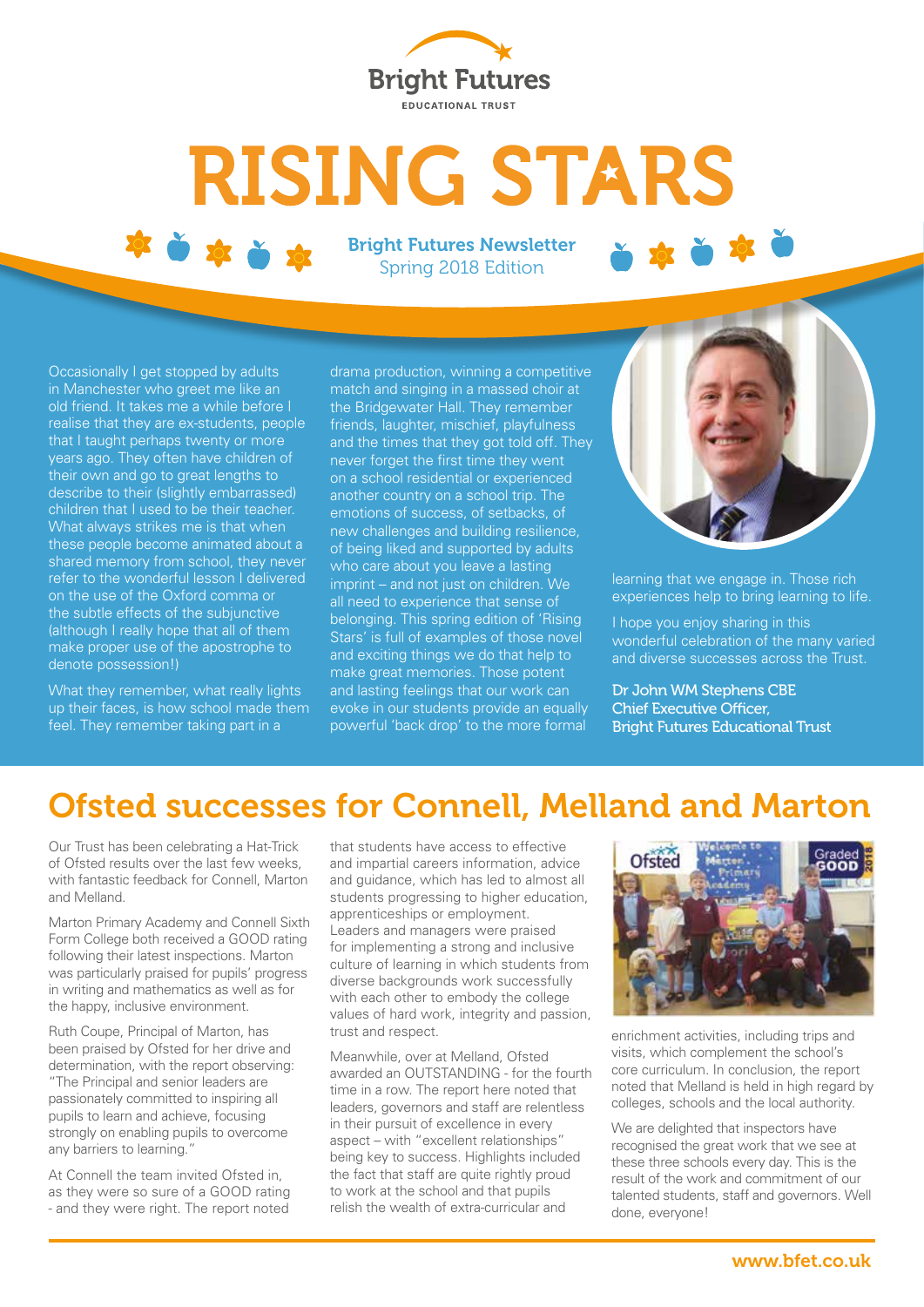

# **RISING STARS**

Bright Futures Newsletter Spring 2018 Edition

Occasionally I get stopped by adults in Manchester who greet me like an old friend. It takes me a while before I realise that they are ex-students, people that I taught perhaps twenty or more years ago. They often have children of their own and go to great lengths to describe to their (slightly embarrassed) children that I used to be their teacher. What always strikes me is that when these people become animated about a shared memory from school, they never refer to the wonderful lesson I delivered on the use of the Oxford comma or the subtle effects of the subjunctive (although I really hope that all of them make proper use of the apostrophe to denote possession!)

What they remember, what really lights up their faces, is how school made them feel. They remember taking part in a

drama production, winning a competitive match and singing in a massed choir at the Bridgewater Hall. They remember friends, laughter, mischief, playfulness and the times that they got told off. They never forget the first time they went on a school residential or experienced another country on a school trip. The emotions of success, of setbacks, of new challenges and building resilience, of being liked and supported by adults who care about you leave a lasting imprint – and not just on children. We all need to experience that sense of belonging. This spring edition of 'Rising Stars' is full of examples of those novel and exciting things we do that help to make great memories. Those potent and lasting feelings that our work can evoke in our students provide an equally powerful 'back drop' to the more formal



learning that we engage in. Those rich experiences help to bring learning to life.

I hope you enjoy sharing in this wonderful celebration of the many varied and diverse successes across the Trust.

Dr John WM Stephens CBE Chief Executive Officer, Bright Futures Educational Trust

## Ofsted successes for Connell, Melland and Marton

Our Trust has been celebrating a Hat-Trick of Ofsted results over the last few weeks, with fantastic feedback for Connell, Marton and Melland.

Marton Primary Academy and Connell Sixth Form College both received a GOOD rating following their latest inspections. Marton was particularly praised for pupils' progress in writing and mathematics as well as for the happy, inclusive environment.

Ruth Coupe, Principal of Marton, has been praised by Ofsted for her drive and determination, with the report observing: "The Principal and senior leaders are passionately committed to inspiring all pupils to learn and achieve, focusing strongly on enabling pupils to overcome any barriers to learning."

At Connell the team invited Ofsted in, as they were so sure of a GOOD rating - and they were right. The report noted

that students have access to effective and impartial careers information, advice and guidance, which has led to almost all students progressing to higher education, apprenticeships or employment. Leaders and managers were praised for implementing a strong and inclusive culture of learning in which students from diverse backgrounds work successfully with each other to embody the college values of hard work, integrity and passion, trust and respect.

Meanwhile, over at Melland, Ofsted awarded an OUTSTANDING - for the fourth time in a row. The report here noted that leaders, governors and staff are relentless in their pursuit of excellence in every aspect – with "excellent relationships" being key to success. Highlights included the fact that staff are quite rightly proud to work at the school and that pupils relish the wealth of extra-curricular and



enrichment activities, including trips and visits, which complement the school's core curriculum. In conclusion, the report noted that Melland is held in high regard by colleges, schools and the local authority.

We are delighted that inspectors have recognised the great work that we see at these three schools every day. This is the result of the work and commitment of our talented students, staff and governors. Well done, everyone!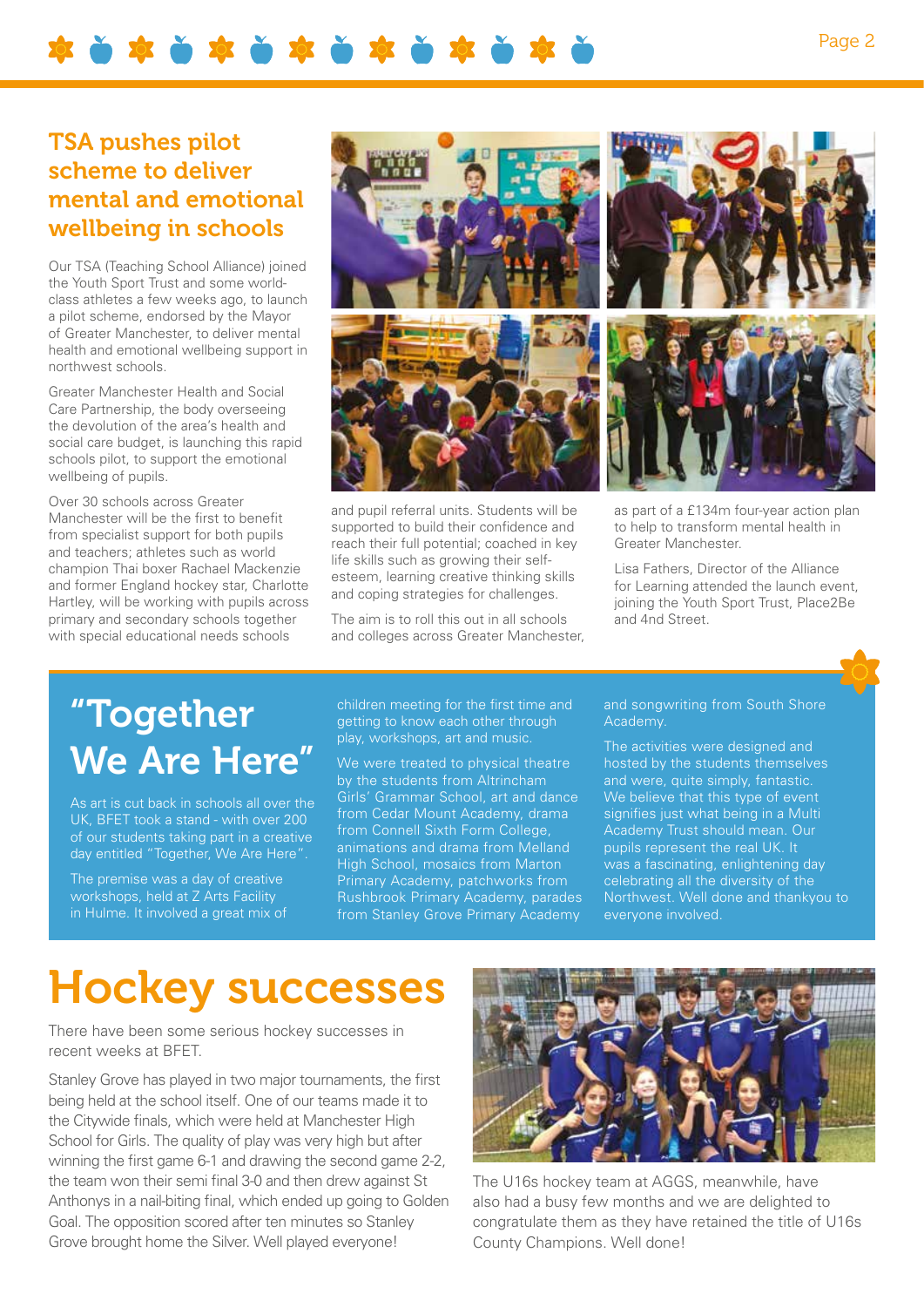\*\*\*\*\*\*\*\*\*\*\*\*\*\*\*

#### TSA pushes pilot scheme to deliver mental and emotional wellbeing in schools

Our TSA (Teaching School Alliance) joined the Youth Sport Trust and some worldclass athletes a few weeks ago, to launch a pilot scheme, endorsed by the Mayor of Greater Manchester, to deliver mental health and emotional wellbeing support in northwest schools.

Greater Manchester Health and Social Care Partnership, the body overseeing the devolution of the area's health and social care budget, is launching this rapid schools pilot, to support the emotional wellbeing of pupils.

Over 30 schools across Greater Manchester will be the first to benefit from specialist support for both pupils and teachers; athletes such as world champion Thai boxer Rachael Mackenzie and former England hockey star, Charlotte Hartley, will be working with pupils across primary and secondary schools together with special educational needs schools



as part of a £134m four-year action plan to help to transform mental health in Greater Manchester.

Lisa Fathers, Director of the Alliance for Learning attended the launch event, joining the Youth Sport Trust, Place2Be and 4nd Street.

# "Together We Are Here"

As art is cut back in schools all over the UK, BFET took a stand - with over 200 of our students taking part in a creative day entitled "Together, We Are Here".

The premise was a day of creative workshops, held at Z Arts Facility in Hulme. It involved a great mix of

children meeting for the first time and getting to know each other through play, workshops, art and music.

supported to build their confidence and reach their full potential; coached in key life skills such as growing their selfesteem, learning creative thinking skills and coping strategies for challenges. The aim is to roll this out in all schools and colleges across Greater Manchester,

We were treated to physical theatre by the students from Altrincham Girls' Grammar School, art and dance from Cedar Mount Academy, drama from Connell Sixth Form College, animations and drama from Melland High School, mosaics from Marton Primary Academy, patchworks from Rushbrook Primary Academy, parades from Stanley Grove Primary Academy

### and songwriting from South Shore

The activities were designed and hosted by the students themselves and were, quite simply, fantastic. We believe that this type of event signifies just what being in a Multi Academy Trust should mean. Our pupils represent the real UK. It was a fascinating, enlightening day celebrating all the diversity of the Northwest. Well done and thankyou to everyone involved.

# Hockey successes

There have been some serious hockey successes in recent weeks at BFET.

Stanley Grove has played in two major tournaments, the first being held at the school itself. One of our teams made it to the Citywide finals, which were held at Manchester High School for Girls. The quality of play was very high but after winning the first game 6-1 and drawing the second game 2-2, the team won their semi final 3-0 and then drew against St Anthonys in a nail-biting final, which ended up going to Golden Goal. The opposition scored after ten minutes so Stanley Grove brought home the Silver. Well played everyone!



The U16s hockey team at AGGS, meanwhile, have also had a busy few months and we are delighted to congratulate them as they have retained the title of U16s County Champions. Well done!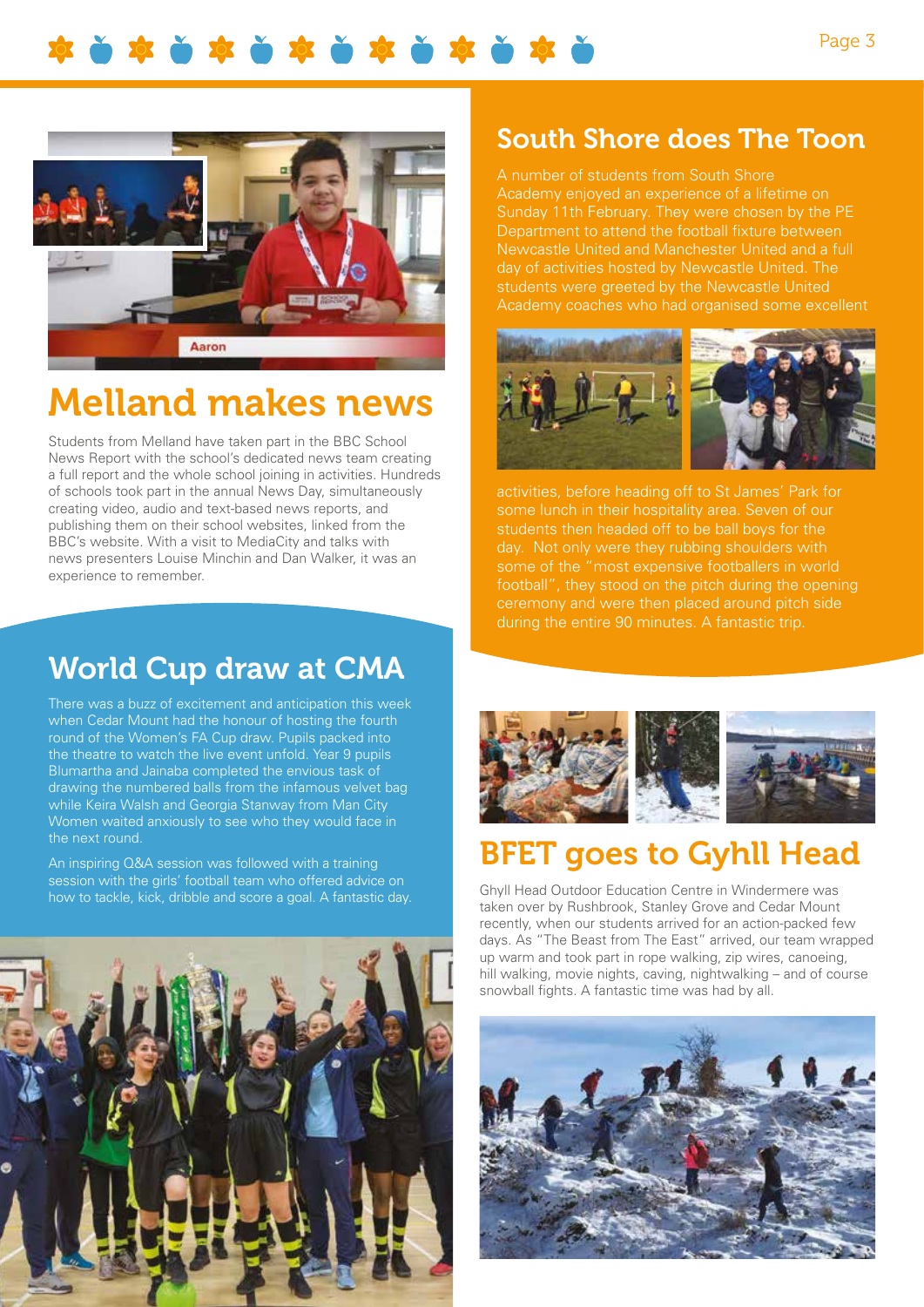

# Melland makes news

Students from Melland have taken part in the BBC School News Report with the school's dedicated news team creating a full report and the whole school joining in activities. Hundreds of schools took part in the annual News Day, simultaneously creating video, audio and text-based news reports, and publishing them on their school websites, linked from the BBC's website. With a visit to MediaCity and talks with news presenters Louise Minchin and Dan Walker, it was an experience to remember.

## World Cup draw at CMA

There was a buzz of excitement and anticipation this week when Cedar Mount had the honour of hosting the fourth round of the Women's FA Cup draw. Pupils packed into the theatre to watch the live event unfold. Year 9 pupils Blumartha and Jainaba completed the envious task of drawing the numbered balls from the infamous velvet bag while Keira Walsh and Georgia Stanway from Man City Women waited anxiously to see who they would face in the next round.

An inspiring Q&A session was followed with a training session with the girls' football team who offered advice on how to tackle, kick, dribble and score a goal. A fantastic day.



#### South Shore does The Toon

A number of students from South Shore Academy enjoyed an experience of a lifetime on Sunday 11th February. They were chosen by the PE Department to attend the football fixture between Newcastle United and Manchester United and a full day of activities hosted by Newcastle United. The students were greeted by the Newcastle United Academy coaches who had organised some excellent



activities, before heading off to St James' Park for some lunch in their hospitality area. Seven of our students then headed off to be ball boys for the day. Not only were they rubbing shoulders with some of the "most expensive footballers in world football", they stood on the pitch during the opening ceremony and were then placed around pitch side during the entire 90 minutes. A fantastic trip.



## BFET goes to Gyhll Head

Ghyll Head Outdoor Education Centre in Windermere was taken over by Rushbrook, Stanley Grove and Cedar Mount recently, when our students arrived for an action-packed few days. As "The Beast from The East" arrived, our team wrapped up warm and took part in rope walking, zip wires, canoeing, hill walking, movie nights, caving, nightwalking – and of course snowball fights. A fantastic time was had by all.